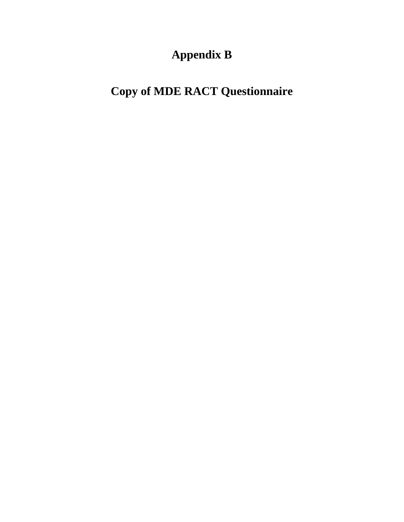## **Appendix B**

## **Copy of MDE RACT Questionnaire**